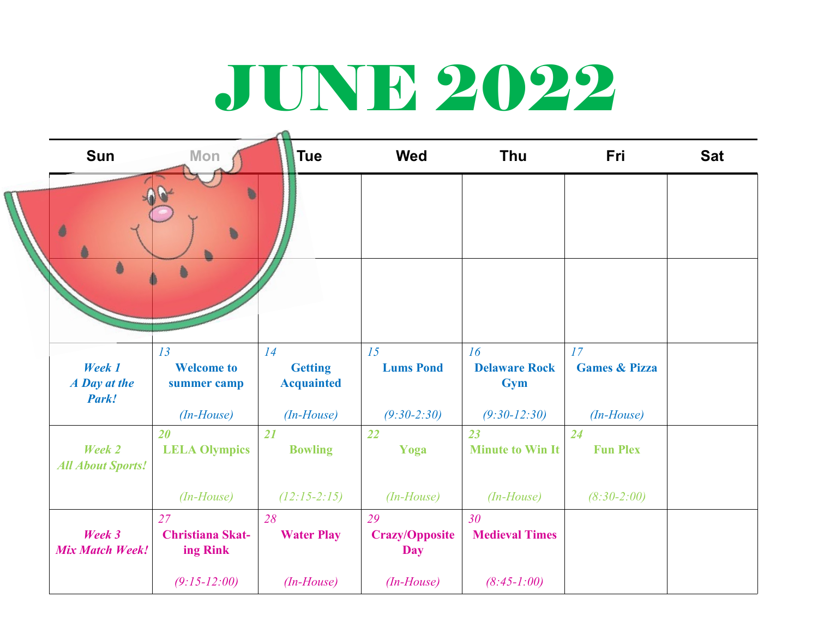## JUNE 2022

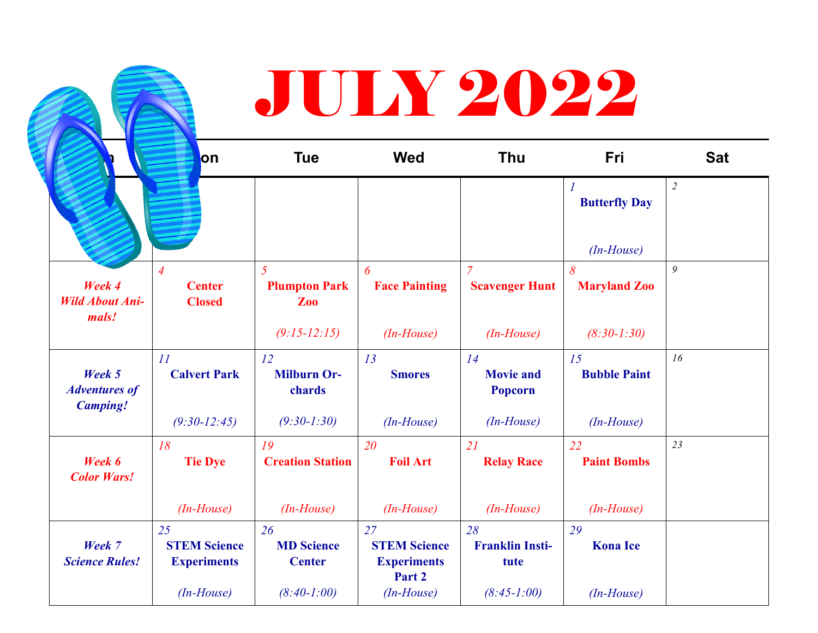|                                                   | lon                                              | <b>Tue</b>                                    | <b>Wed</b>                | Thu                                     | Fri                       | <b>Sat</b>     |
|---------------------------------------------------|--------------------------------------------------|-----------------------------------------------|---------------------------|-----------------------------------------|---------------------------|----------------|
|                                                   |                                                  |                                               |                           |                                         | <b>Butterfly Day</b>      | $\overline{2}$ |
|                                                   |                                                  |                                               |                           |                                         | $(In-House)$              |                |
| Week 4<br><b>Wild About Ani-</b><br>mals!         | $\overline{4}$<br><b>Center</b><br><b>Closed</b> | $\overline{5}$<br><b>Plumpton Park</b><br>Zoo | 6<br><b>Face Painting</b> | $\overline{7}$<br><b>Scavenger Hunt</b> | 8<br><b>Maryland Zoo</b>  | 9              |
|                                                   |                                                  | $(9:15-12:15)$                                | $(In-House)$              | $(In-House)$                            | $(8:30-1:30)$             |                |
| Week 5<br><b>Adventures of</b><br><b>Camping!</b> | 11<br><b>Calvert Park</b>                        | 12<br><b>Milburn Or-</b><br>chards            | 13<br><b>Smores</b>       | 14<br><b>Movie and</b><br>Popcorn       | 15<br><b>Bubble Paint</b> | 16             |
|                                                   | $(9:30-12:45)$                                   | $(9:30-1:30)$                                 | $(In-House)$              | $(In-House)$                            | $(In-House)$              |                |
| Week 6<br><b>Color Wars!</b>                      | 18<br><b>Tie Dye</b>                             | 19<br><b>Creation Station</b>                 | 20<br><b>Foil Art</b>     | 21<br><b>Relay Race</b>                 | 22<br><b>Paint Bombs</b>  | 23             |
|                                                   |                                                  |                                               |                           |                                         |                           |                |